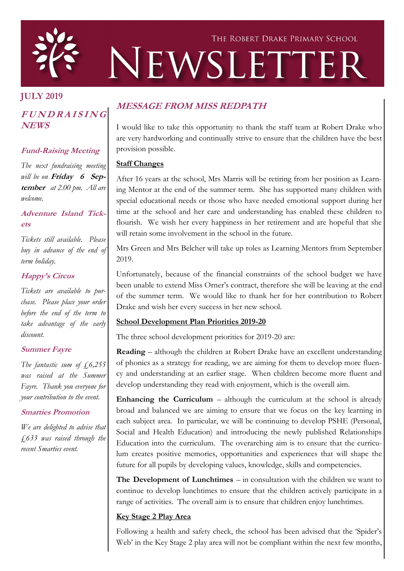

# THE ROBERT DRAKE PRIMARY SCHOOL NEWSLETTER

# **JULY 2019**

## **<sup>F</sup> <sup>U</sup> <sup>N</sup> <sup>D</sup> <sup>R</sup> <sup>A</sup> <sup>I</sup> <sup>S</sup> <sup>I</sup> <sup>N</sup> <sup>G</sup> NEWS**

## **Fund-Raising Meeting**

*The next fundraising meeting will be on* **Friday 6 September** *at 2.00 pm. All are welcome.*

#### **Adventure Island Tickets**

*Tickets still available. Please buy in advance of the end of term holiday.*

## **Happy's Circus**

*Tickets are available to purchase. Please place your order before the end of the term to take advantage of the early discount.*

## **Summer Fayre**

*The fantastic sum of £6,255 was raised at the Summer Fayre. Thank you everyone for your contribution to the event.*

## **Smarties Promotion**

*We are delighted to advise that £633 was raised through the recent Smarties event.*

# **MESSAGE FROM MISS REDPATH**

I would like to take this opportunity to thank the staff team at Robert Drake who are very hardworking and continually strive to ensure that the children have the best provision possible.

## **Staff Changes**

After 16 years at the school, Mrs Marris will be retiring from her position as Learning Mentor at the end of the summer term. She has supported many children with special educational needs or those who have needed emotional support during her time at the school and her care and understanding has enabled these children to flourish. We wish her every happiness in her retirement and are hopeful that she will retain some involvement in the school in the future.

Mrs Green and Mrs Belcher will take up roles as Learning Mentors from September 2019.

Unfortunately, because of the financial constraints of the school budget we have been unable to extend Miss Orner's contract, therefore she will be leaving at the end of the summer term. We would like to thank her for her contribution to Robert Drake and wish her every success in her new school.

## **School Development Plan Priorities 2019-20**

The three school development priorities for 2019-20 are:

**Reading** – although the children at Robert Drake have an excellent understanding of phonics as a strategy for reading, we are aiming for them to develop more fluency and understanding at an earlier stage. When children become more fluent and develop understanding they read with enjoyment, which is the overall aim.

**Enhancing the Curriculum –** although the curriculum at the school is already broad and balanced we are aiming to ensure that we focus on the key learning in each subject area. In particular, we will be continuing to develop PSHE (Personal, Social and Health Education) and introducing the newly published Relationships Education into the curriculum. The overarching aim is to ensure that the curriculum creates positive memories, opportunities and experiences that will shape the future for all pupils by developing values, knowledge, skills and competencies.

**The Development of Lunchtimes** – in consultation with the children we want to continue to develop lunchtimes to ensure that the children actively participate in a range of activities. The overall aim is to ensure that children enjoy lunchtimes.

## **Key Stage 2 Play Area**

Following a health and safety check, the school has been advised that the 'Spider's Web' in the Key Stage 2 play area will not be compliant within the next few months,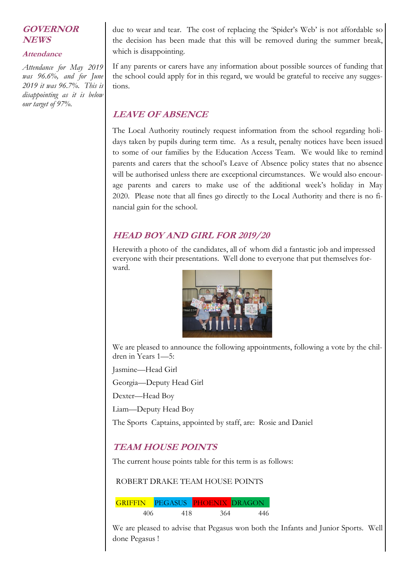## **GOVERNOR NEWS**

#### **Attendance**

*Attendance for May 2019 was 96.6%, and for June 2019 it was 96.7%. This is disappointing as it is below our target of 97%.*

due to wear and tear. The cost of replacing the 'Spider's Web' is not affordable so the decision has been made that this will be removed during the summer break, which is disappointing.

If any parents or carers have any information about possible sources of funding that the school could apply for in this regard, we would be grateful to receive any suggestions.

## **LEAVE OF ABSENCE**

The Local Authority routinely request information from the school regarding holidays taken by pupils during term time. As a result, penalty notices have been issued to some of our families by the Education Access Team. We would like to remind parents and carers that the school's Leave of Absence policy states that no absence will be authorised unless there are exceptional circumstances. We would also encourage parents and carers to make use of the additional week's holiday in May 2020. Please note that all fines go directly to the Local Authority and there is no financial gain for the school.

# **HEAD BOY AND GIRL FOR 2019/20**

Herewith a photo of the candidates, all of whom did a fantastic job and impressed everyone with their presentations. Well done to everyone that put themselves forward.



We are pleased to announce the following appointments, following a vote by the children in Years 1—5:

Jasmine—Head Girl

Georgia—Deputy Head Girl

Dexter—Head Boy

Liam—Deputy Head Boy

The Sports Captains, appointed by staff, are: Rosie and Daniel

## **TEAM HOUSE POINTS**

The current house points table for this term is as follows:

ROBERT DRAKE TEAM HOUSE POINTS

GRIFFIN PEGASUS PHOENIX DRAGON 406 418 364 446

We are pleased to advise that Pegasus won both the Infants and Junior Sports. Well done Pegasus !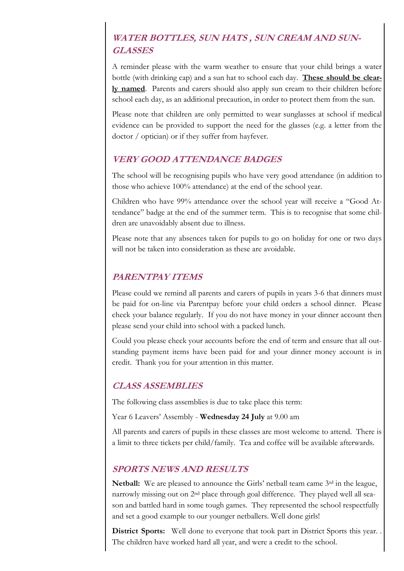# **WATER BOTTLES, SUN HATS , SUN CREAM AND SUN-GLASSES**

A reminder please with the warm weather to ensure that your child brings a water bottle (with drinking cap) and a sun hat to school each day. **These should be clearly named**. Parents and carers should also apply sun cream to their children before school each day, as an additional precaution, in order to protect them from the sun.

Please note that children are only permitted to wear sunglasses at school if medical evidence can be provided to support the need for the glasses (e.g. a letter from the doctor / optician) or if they suffer from hayfever.

## **VERY GOOD ATTENDANCE BADGES**

The school will be recognising pupils who have very good attendance (in addition to those who achieve 100% attendance) at the end of the school year.

Children who have 99% attendance over the school year will receive a "Good Attendance" badge at the end of the summer term. This is to recognise that some children are unavoidably absent due to illness.

Please note that any absences taken for pupils to go on holiday for one or two days will not be taken into consideration as these are avoidable.

## **PARENTPAY ITEMS**

Please could we remind all parents and carers of pupils in years 3-6 that dinners must be paid for on-line via Parentpay before your child orders a school dinner. Please check your balance regularly. If you do not have money in your dinner account then please send your child into school with a packed lunch.

Could you please check your accounts before the end of term and ensure that all outstanding payment items have been paid for and your dinner money account is in credit. Thank you for your attention in this matter.

## **CLASS ASSEMBLIES**

The following class assemblies is due to take place this term:

Year 6 Leavers' Assembly - **Wednesday 24 July** at 9.00 am

All parents and carers of pupils in these classes are most welcome to attend. There is a limit to three tickets per child/family. Tea and coffee will be available afterwards.

## **SPORTS NEWS AND RESULTS**

**Netball:** We are pleased to announce the Girls' netball team came 3<sup>rd</sup> in the league, narrowly missing out on 2nd place through goal difference. They played well all season and battled hard in some tough games. They represented the school respectfully and set a good example to our younger netballers. Well done girls!

**District Sports:** Well done to everyone that took part in District Sports this year. . The children have worked hard all year, and were a credit to the school.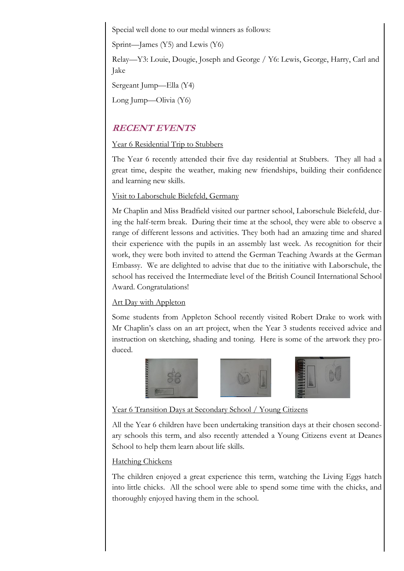Special well done to our medal winners as follows:

Sprint—James (Y5) and Lewis (Y6)

Relay—Y3: Louie, Dougie, Joseph and George / Y6: Lewis, George, Harry, Carl and Jake

Sergeant Jump—Ella (Y4)

Long Jump—Olivia (Y6)

# **RECENT EVENTS**

## Year 6 Residential Trip to Stubbers

The Year 6 recently attended their five day residential at Stubbers. They all had a great time, despite the weather, making new friendships, building their confidence and learning new skills.

#### Visit to Laborschule Bielefeld, Germany

Mr Chaplin and Miss Bradfield visited our partner school, Laborschule Bielefeld, during the half-term break. During their time at the school, they were able to observe a range of different lessons and activities. They both had an amazing time and shared their experience with the pupils in an assembly last week. As recognition for their work, they were both invited to attend the German Teaching Awards at the German Embassy. We are delighted to advise that due to the initiative with Laborschule, the school has received the Intermediate level of the British Council International School Award. Congratulations!

## Art Day with Appleton

Some students from Appleton School recently visited Robert Drake to work with Mr Chaplin's class on an art project, when the Year 3 students received advice and instruction on sketching, shading and toning. Here is some of the artwork they produced.







#### Year 6 Transition Days at Secondary School / Young Citizens

All the Year 6 children have been undertaking transition days at their chosen secondary schools this term, and also recently attended a Young Citizens event at Deanes School to help them learn about life skills.

## Hatching Chickens

The children enjoyed a great experience this term, watching the Living Eggs hatch into little chicks. All the school were able to spend some time with the chicks, and thoroughly enjoyed having them in the school.